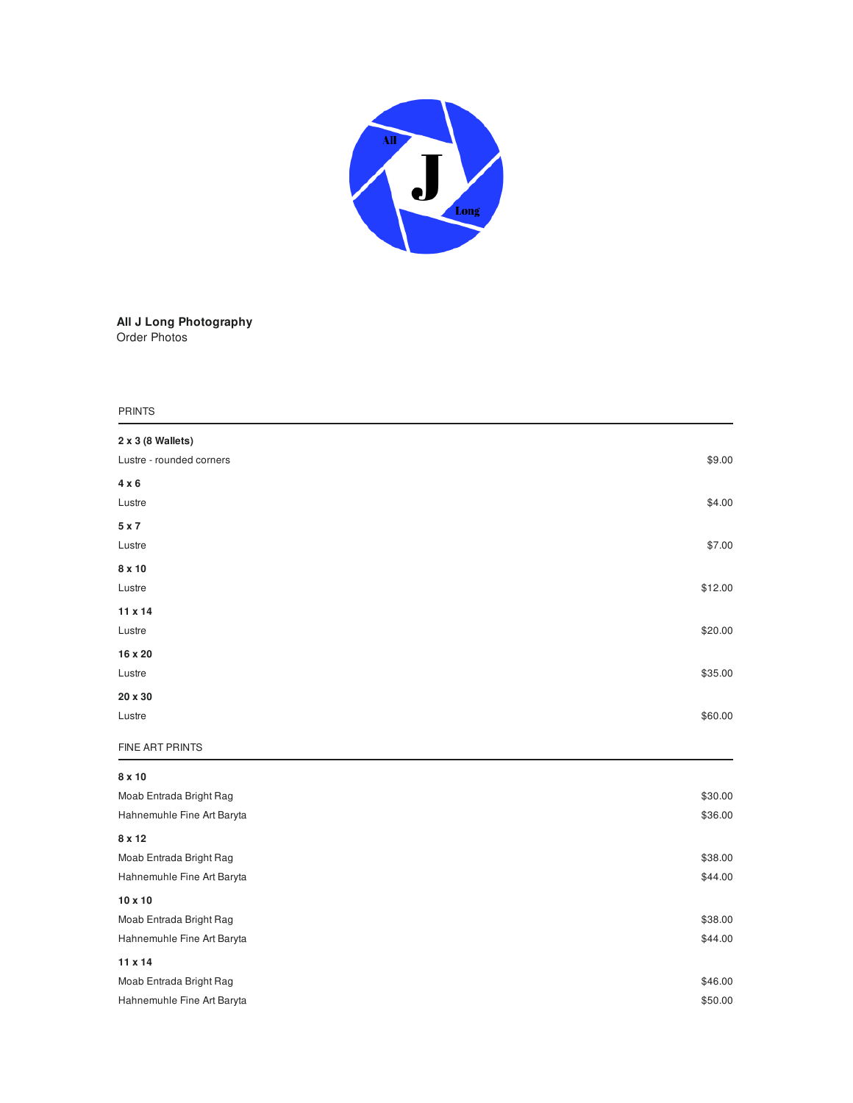

## **All J Long Photography** Order Photos

## P RIN T S

| 2 x 3 (8 Wallets)          |         |
|----------------------------|---------|
| Lustre - rounded corners   | \$9.00  |
| 4 x 6                      |         |
| Lustre                     | \$4.00  |
| 5 x 7                      |         |
| Lustre                     | \$7.00  |
| 8 x 10                     |         |
| Lustre                     | \$12.00 |
| 11 x 14                    |         |
| Lustre                     | \$20.00 |
| 16 x 20                    |         |
| Lustre                     | \$35.00 |
| 20 x 30                    |         |
| Lustre                     | \$60.00 |
| FINE ART PRINTS            |         |
| 8 x 10                     |         |
| Moab Entrada Bright Rag    | \$30.00 |
| Hahnemuhle Fine Art Baryta | \$36.00 |
| 8 x 12                     |         |
| Moab Entrada Bright Rag    | \$38.00 |
| Hahnemuhle Fine Art Baryta | \$44.00 |
| 10 x 10                    |         |
| Moab Entrada Bright Rag    | \$38.00 |
| Hahnemuhle Fine Art Baryta | \$44.00 |
| 11 x 14                    |         |
| Moab Entrada Bright Rag    | \$46.00 |
| Hahnemuhle Fine Art Baryta | \$50.00 |